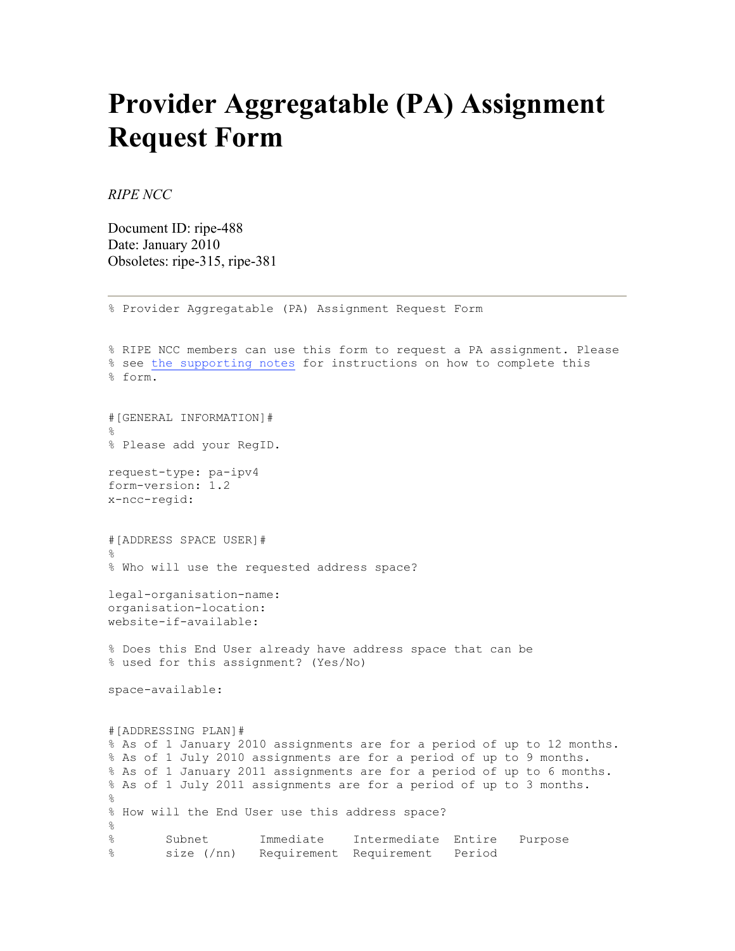## **Provider Aggregatable (PA) Assignment Request Form**

% Provider Aggregatable (PA) Assignment Request Form

*RIPE NCC* 

Document ID: ripe-488 Date: January 2010 Obsoletes: ripe-315, ripe-381

% RIPE NCC members can use this form to request a PA assignment. Please % see the supporting notes for instructions on how to complete this % form. #[GENERAL INFORMATION]# % % Please add your RegID. request-type: pa-ipv4 form-version: 1.2 x-ncc-regid: #[ADDRESS SPACE USER]# % % Who will use the requested address space? legal-organisation-name: organisation-location: website-if-available: % Does this End User already have address space that can be % used for this assignment? (Yes/No) space-available: #[ADDRESSING PLAN]# % As of 1 January 2010 assignments are for a period of up to 12 months. % As of 1 July 2010 assignments are for a period of up to 9 months. % As of 1 January 2011 assignments are for a period of up to 6 months. % As of 1 July 2011 assignments are for a period of up to 3 months. % % How will the End User use this address space?  $\frac{8}{3}$ % Subnet Immediate Intermediate Entire Purpose % size (/nn) Requirement Requirement Period